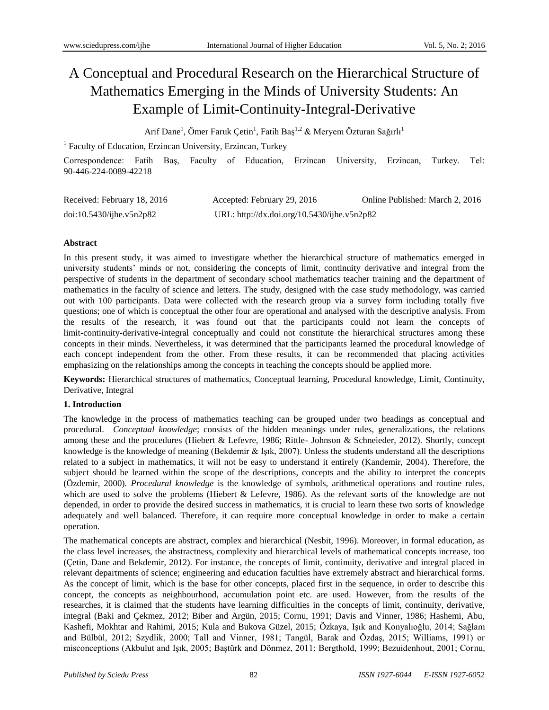# A Conceptual and Procedural Research on the Hierarchical Structure of Mathematics Emerging in the Minds of University Students: An Example of Limit-Continuity-Integral-Derivative

Arif Dane<sup>1</sup>, Ömer Faruk Çetin<sup>1</sup>, Fatih Baş<sup>1,2</sup> & Meryem Özturan Sağırlı<sup>1</sup>

<sup>1</sup> Faculty of Education, Erzincan University, Erzincan, Turkey

Correspondence: Fatih Baş, Faculty of Education, Erzincan University, Erzincan, Turkey. Tel: 90-446-224-0089-42218

| Received: February 18, 2016 | Accepted: February 29, 2016                 | Online Published: March 2, 2016 |
|-----------------------------|---------------------------------------------|---------------------------------|
| doi:10.5430/jhe.v5n2p82     | URL: http://dx.doi.org/10.5430/ijhe.v5n2p82 |                                 |

# **Abstract**

In this present study, it was aimed to investigate whether the hierarchical structure of mathematics emerged in university students' minds or not, considering the concepts of limit, continuity derivative and integral from the perspective of students in the department of secondary school mathematics teacher training and the department of mathematics in the faculty of science and letters. The study, designed with the case study methodology, was carried out with 100 participants. Data were collected with the research group via a survey form including totally five questions; one of which is conceptual the other four are operational and analysed with the descriptive analysis. From the results of the research, it was found out that the participants could not learn the concepts of limit-continuity-derivative-integral conceptually and could not constitute the hierarchical structures among these concepts in their minds. Nevertheless, it was determined that the participants learned the procedural knowledge of each concept independent from the other. From these results, it can be recommended that placing activities emphasizing on the relationships among the concepts in teaching the concepts should be applied more.

**Keywords:** Hierarchical structures of mathematics, Conceptual learning, Procedural knowledge, Limit, Continuity, Derivative, Integral

# **1. Introduction**

The knowledge in the process of mathematics teaching can be grouped under two headings as conceptual and procedural. *Conceptual knowledge*; consists of the hidden meanings under rules, generalizations, the relations among these and the procedures (Hiebert & Lefevre, 1986; Rittle- Johnson & Schneieder, 2012)*.* Shortly, concept knowledge is the knowledge of meaning (Bekdemir & Işık, 2007). Unless the students understand all the descriptions related to a subject in mathematics, it will not be easy to understand it entirely (Kandemir, 2004). Therefore, the subject should be learned within the scope of the descriptions, concepts and the ability to interpret the concepts (Özdemir, 2000). *Procedural knowledge* is the knowledge of symbols, arithmetical operations and routine rules, which are used to solve the problems (Hiebert & Lefevre, 1986). As the relevant sorts of the knowledge are not depended, in order to provide the desired success in mathematics, it is crucial to learn these two sorts of knowledge adequately and well balanced. Therefore, it can require more conceptual knowledge in order to make a certain operation.

The mathematical concepts are abstract, complex and hierarchical (Nesbit, 1996). Moreover, in formal education, as the class level increases, the abstractness, complexity and hierarchical levels of mathematical concepts increase, too (Çetin, Dane and Bekdemir, 2012). For instance, the concepts of limit, continuity, derivative and integral placed in relevant departments of science; engineering and education faculties have extremely abstract and hierarchical forms. As the concept of limit, which is the base for other concepts, placed first in the sequence, in order to describe this concept, the concepts as neighbourhood, accumulation point etc. are used. However, from the results of the researches, it is claimed that the students have learning difficulties in the concepts of limit, continuity, derivative, integral (Baki and Çekmez, 2012; Biber and Argün, 2015; Cornu, 1991; Davis and Vinner, 1986; Hashemi, Abu, Kashefi, Mokhtar and Rahimi, 2015; Kula and Bukova Güzel, 2015; Özkaya, Işık and Konyalıoğlu, 2014; Sağlam and Bülbül, 2012; Szydlik, 2000; Tall and Vinner, 1981; Tangül, Barak and Özdaş, 2015; Williams, 1991) or misconceptions (Akbulut and Işık, 2005; Baştürk and Dönmez, 2011; Bergthold, 1999; Bezuidenhout, 2001; Cornu,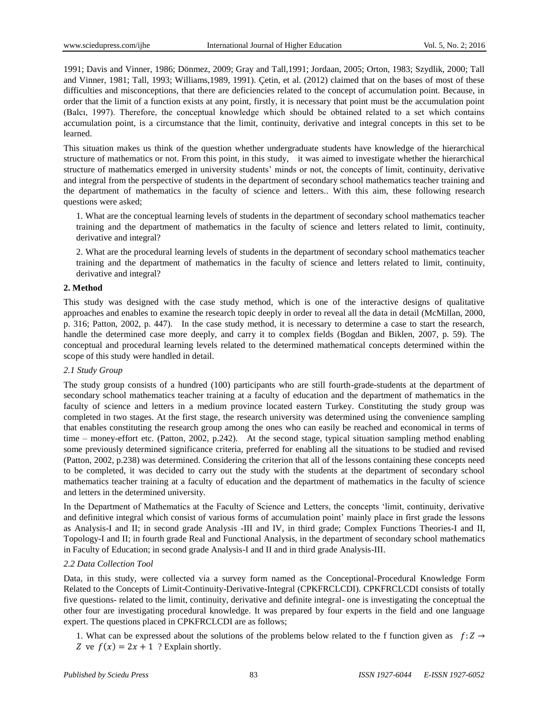1991; Davis and Vinner, 1986; Dönmez, 2009; Gray and Tall,1991; Jordaan, 2005; Orton, 1983; Szydlik, 2000; Tall and Vinner, 1981; Tall, 1993; Williams,1989, 1991). Çetin, et al. (2012) claimed that on the bases of most of these difficulties and misconceptions, that there are deficiencies related to the concept of accumulation point. Because, in order that the limit of a function exists at any point, firstly, it is necessary that point must be the accumulation point (Balcı, 1997). Therefore, the conceptual knowledge which should be obtained related to a set which contains accumulation point, is a circumstance that the limit, continuity, derivative and integral concepts in this set to be learned.

This situation makes us think of the question whether undergraduate students have knowledge of the hierarchical structure of mathematics or not. From this point, in this study, it was aimed to investigate whether the hierarchical structure of mathematics emerged in university students' minds or not, the concepts of limit, continuity, derivative and integral from the perspective of students in the department of secondary school mathematics teacher training and the department of mathematics in the faculty of science and letters.. With this aim, these following research questions were asked;

1. What are the conceptual learning levels of students in the department of secondary school mathematics teacher training and the department of mathematics in the faculty of science and letters related to limit, continuity, derivative and integral?

2. What are the procedural learning levels of students in the department of secondary school mathematics teacher training and the department of mathematics in the faculty of science and letters related to limit, continuity, derivative and integral?

# **2. Method**

This study was designed with the case study method, which is one of the interactive designs of qualitative approaches and enables to examine the research topic deeply in order to reveal all the data in detail (McMillan, 2000, p. 316; Patton, 2002, p. 447). In the case study method, it is necessary to determine a case to start the research, handle the determined case more deeply, and carry it to complex fields (Bogdan and Biklen, 2007, p. 59). The conceptual and procedural learning levels related to the determined mathematical concepts determined within the scope of this study were handled in detail.

# *2.1 Study Group*

The study group consists of a hundred (100) participants who are still fourth-grade-students at the department of secondary school mathematics teacher training at a faculty of education and the department of mathematics in the faculty of science and letters in a medium province located eastern Turkey. Constituting the study group was completed in two stages. At the first stage, the research university was determined using the convenience sampling that enables constituting the research group among the ones who can easily be reached and economical in terms of time – money-effort etc. (Patton, 2002, p.242). At the second stage, typical situation sampling method enabling some previously determined significance criteria, preferred for enabling all the situations to be studied and revised (Patton, 2002, p.238) was determined. Considering the criterion that all of the lessons containing these concepts need to be completed, it was decided to carry out the study with the students at the department of secondary school mathematics teacher training at a faculty of education and the department of mathematics in the faculty of science and letters in the determined university.

In the Department of Mathematics at the Faculty of Science and Letters, the concepts 'limit, continuity, derivative and definitive integral which consist of various forms of accumulation point' mainly place in first grade the lessons as Analysis-I and II; in second grade Analysis -III and IV, in third grade; Complex Functions Theories-I and II, Topology-I and II; in fourth grade Real and Functional Analysis, in the department of secondary school mathematics in Faculty of Education; in second grade Analysis-I and II and in third grade Analysis-III.

# *2.2 Data Collection Tool*

Data, in this study, were collected via a survey form named as the Conceptional-Procedural Knowledge Form Related to the Concepts of Limit-Continuity-Derivative-Integral (CPKFRCLCDI). CPKFRCLCDI consists of totally five questions- related to the limit, continuity, derivative and definite integral- one is investigating the conceptual the other four are investigating procedural knowledge. It was prepared by four experts in the field and one language expert. The questions placed in CPKFRCLCDI are as follows;

1. What can be expressed about the solutions of the problems below related to the f function given as  $f: Z \rightarrow$ Z ve  $f(x) = 2x + 1$  ? Explain shortly.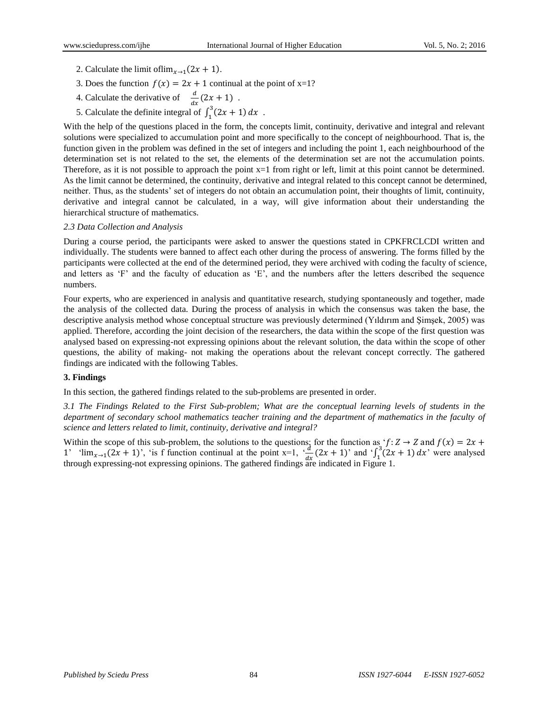- 2. Calculate the limit of  $\lim_{x\to 1} (2x + 1)$ .
- 3. Does the function  $f(x) = 2x + 1$  continual at the point of x=1?
- 4. Calculate the derivative of  $\frac{d}{dx}(2x + 1)$ .
- 5. Calculate the definite integral of  $\int_1^3 (2x + 1)$  $\int_{1}^{6} (2x+1) dx$ .

With the help of the questions placed in the form, the concepts limit, continuity, derivative and integral and relevant solutions were specialized to accumulation point and more specifically to the concept of neighbourhood. That is, the function given in the problem was defined in the set of integers and including the point 1, each neighbourhood of the determination set is not related to the set, the elements of the determination set are not the accumulation points. Therefore, as it is not possible to approach the point  $x=1$  from right or left, limit at this point cannot be determined. As the limit cannot be determined, the continuity, derivative and integral related to this concept cannot be determined, neither. Thus, as the students' set of integers do not obtain an accumulation point, their thoughts of limit, continuity, derivative and integral cannot be calculated, in a way, will give information about their understanding the hierarchical structure of mathematics.

### *2.3 Data Collection and Analysis*

During a course period, the participants were asked to answer the questions stated in CPKFRCLCDI written and individually. The students were banned to affect each other during the process of answering. The forms filled by the participants were collected at the end of the determined period, they were archived with coding the faculty of science, and letters as 'F' and the faculty of education as 'E', and the numbers after the letters described the sequence numbers.

Four experts, who are experienced in analysis and quantitative research, studying spontaneously and together, made the analysis of the collected data. During the process of analysis in which the consensus was taken the base, the descriptive analysis method whose conceptual structure was previously determined (Yıldırım and Şimşek, 2005) was applied. Therefore, according the joint decision of the researchers, the data within the scope of the first question was analysed based on expressing-not expressing opinions about the relevant solution, the data within the scope of other questions, the ability of making- not making the operations about the relevant concept correctly. The gathered findings are indicated with the following Tables.

### **3. Findings**

In this section, the gathered findings related to the sub-problems are presented in order.

*3.1 The Findings Related to the First Sub-problem; What are the conceptual learning levels of students in the department of secondary school mathematics teacher training and the department of mathematics in the faculty of science and letters related to limit, continuity, derivative and integral?* 

Within the scope of this sub-problem, the solutions to the questions; for the function as ' $f: Z \to Z$  and  $f(x) = 2x +$ 1' ' $\lim_{x\to 1}(2x+1)$ ', 'is f function continual at the point  $x=1$ ,  $\frac{d}{dx}(2x+1)$ ' and  $\int_1^3(2x+1)$  $\int_{1}^{3} (2x + 1) dx'$  were analysed through expressing-not expressing opinions. The gathered findings are indicated in Figure 1.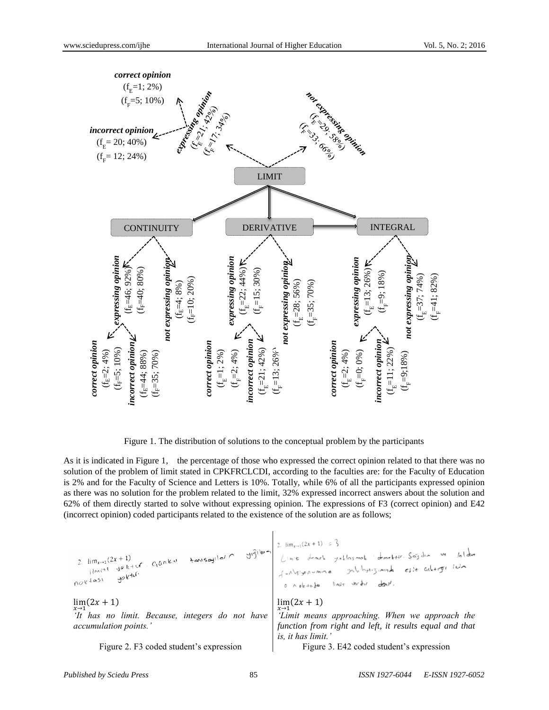

Figure 1. The distribution of solutions to the conceptual problem by the participants

As it is indicated in Figure 1, the percentage of those who expressed the correct opinion related to that there was no solution of the problem of limit stated in CPKFRCLCDI, according to the faculties are: for the Faculty of Education is 2% and for the Faculty of Science and Letters is 10%. Totally, while 6% of all the participants expressed opinion as there was no solution for the problem related to the limit, 32% expressed incorrect answers about the solution and 62% of them directly started to solve without expressing opinion. The expressions of F3 (correct opinion) and E42 (incorrect opinion) coded participants related to the existence of the solution are as follows;

ï

| 2. $\lim_{x\to 1}(2x+1)$<br>noviasi yoktu.                                                          | $\lim_{x\to 1}(2x+1)$<br>$lim_{x\to 1}(2x+1)$<br>$lim_{x\to 1}x + \sqrt{1 + 1}$<br>$lim_{x\to 1}x + \sqrt{1 + 1}$<br>$lim_{x\to 1}x + \sqrt{1 + 1}$<br>$lim_{x\to 1}x + \sqrt{1 + 1}$<br>$lim_{x\to 1}x + \sqrt{1 + 1}$<br>$lim_{x\to 1}x + \sqrt{1 + 1}$<br>$lim_{x\to 1}x + \sqrt{1 + 1}$<br>$lim_{x\to 1}x + \sqrt{1 + 1}$<br>$lim_{x\to 1}x + \sqrt{1 + 1}$<br>$0$ not to be helt various $\frac{1}{2}$ |
|-----------------------------------------------------------------------------------------------------|-------------------------------------------------------------------------------------------------------------------------------------------------------------------------------------------------------------------------------------------------------------------------------------------------------------------------------------------------------------------------------------------------------------|
| $\lim_{x\to 1}(2x + 1)$<br>'It has no limit. Because, integers do not have<br>accumulation points.' | $\lim_{x\to 1}(2x + 1)$<br>'Limit means approaching. When we approach the<br>function from right and left, it results equal and that<br>is, it has limit.'                                                                                                                                                                                                                                                  |
| Figure 2. F3 coded student's expression                                                             | Figure 3. E42 coded student's expression                                                                                                                                                                                                                                                                                                                                                                    |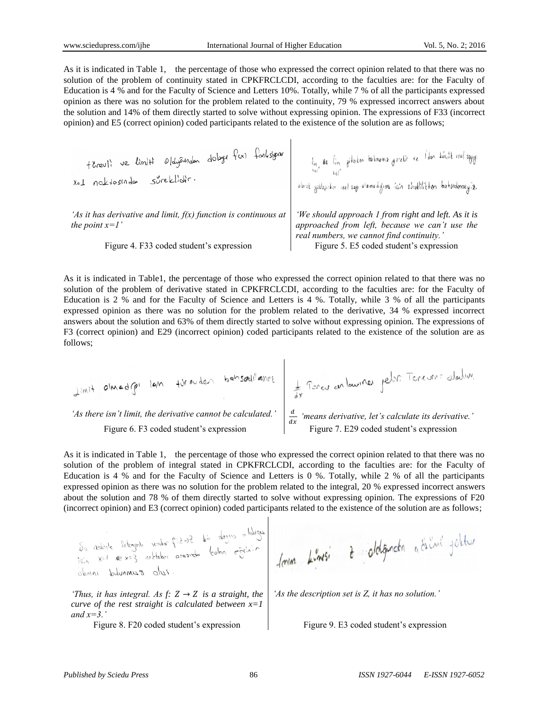As it is indicated in Table 1, the percentage of those who expressed the correct opinion related to that there was no solution of the problem of continuity stated in CPKFRCLCDI, according to the faculties are: for the Faculty of Education is 4 % and for the Faculty of Science and Letters 10%. Totally, while 7 % of all the participants expressed opinion as there was no solution for the problem related to the continuity, 79 % expressed incorrect answers about the solution and 14% of them directly started to solve without expressing opinion. The expressions of F33 (incorrect opinion) and E5 (correct opinion) coded participants related to the existence of the solution are as follows;

| förevli ve limiti oldupunden dolayı foxi fonlesipar<br>$x=1$ nottosinda süreklidir.    | lin, se lin giderken bakmama geretir ve l'den Lücist real synn.<br>alarat yaklasırkını reel sayı alamadığıma iciin süreklilikten bahsedemeyiz.     |
|----------------------------------------------------------------------------------------|----------------------------------------------------------------------------------------------------------------------------------------------------|
| 'As it has derivative and limit, $f(x)$ function is continuous at<br>the point $x=1$ ' | 'We should approach 1 from right and left. As it is<br>approached from left, because we can't use the<br>real numbers, we cannot find continuity.' |
| Figure 4. F33 coded student's expression                                               | Figure 5. E5 coded student's expression                                                                                                            |

As it is indicated in Table1, the percentage of those who expressed the correct opinion related to that there was no solution of the problem of derivative stated in CPKFRCLCDI, according to the faculties are: for the Faculty of Education is 2 % and for the Faculty of Science and Letters is 4 %. Totally, while 3 % of all the participants expressed opinion as there was no solution for the problem related to the derivative, 34 % expressed incorrect answers about the solution and 63% of them directly started to solve without expressing opinion. The expressions of F3 (correct opinion) and E29 (incorrect opinion) coded participants related to the existence of the solution are as follows;

Hint: 
$$
0 \leq \sqrt{9}
$$

\nHint: the derivative cannot be calculated:

\nFigure 6. F3 coded student's expression

\nFigure 7. E29 coded student's expression

\n

As it is indicated in Table 1, the percentage of those who expressed the correct opinion related to that there was no solution of the problem of integral stated in CPKFRCLCDI, according to the faculties are: for the Faculty of Education is 4 % and for the Faculty of Science and Letters is 0 %. Totally, while 2 % of all the participants expressed opinion as there was no solution for the problem related to the integral, 20 % expressed incorrect answers about the solution and 78 % of them directly started to solve without expressing opinion. The expressions of F20 (incorrect opinion) and E3 (correct opinion) coded participants related to the existence of the solution are as follows;

 $\mathbf{I}$ 

*'Thus, it has integral. As f:*  $Z \rightarrow Z$  *is a straight, the curve of the rest straight is calculated between x=1 and x=3.'*

Figure 8. F20 coded student's expression Figure 9. E3 coded student's expression

*'As the description set is Z, it has no solution.'*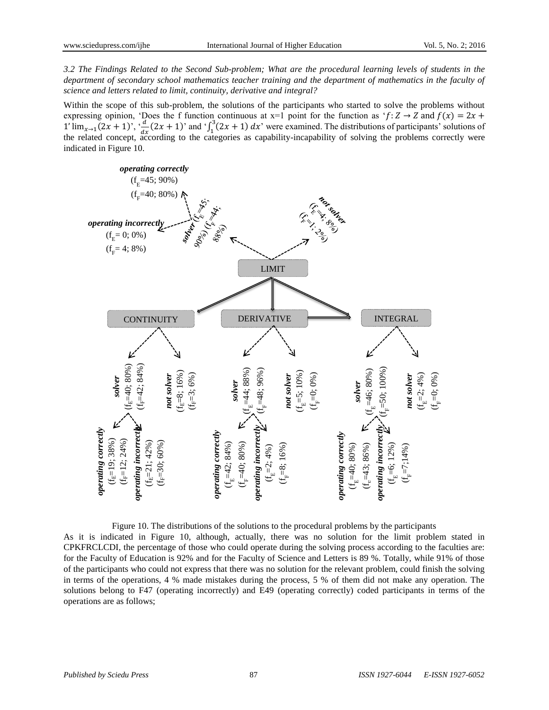*3.2 The Findings Related to the Second Sub-problem; What are the procedural learning levels of students in the department of secondary school mathematics teacher training and the department of mathematics in the faculty of science and letters related to limit, continuity, derivative and integral?*

Within the scope of this sub-problem, the solutions of the participants who started to solve the problems without expressing opinion, 'Does the f function continuous at  $x=1$  point for the function as ' $f: Z \rightarrow Z$  and  $f(x) = 2x +$  $1' \lim_{x\to 1} (2x + 1)'$ ,  $\frac{d}{dx} (2x + 1)'$  and  $\int_1^3 (2x + 1) dx$  $\int_{1}^{5} (2x + 1) dx'$  were examined. The distributions of participants' solutions of the related concept, according to the categories as capability-incapability of solving the problems correctly were indicated in Figure 10.



Figure 10. The distributions of the solutions to the procedural problems by the participants As it is indicated in Figure 10, although, actually, there was no solution for the limit problem stated in CPKFRCLCDI, the percentage of those who could operate during the solving process according to the faculties are: for the Faculty of Education is 92% and for the Faculty of Science and Letters is 89 %. Totally, while 91% of those of the participants who could not express that there was no solution for the relevant problem, could finish the solving in terms of the operations, 4 % made mistakes during the process, 5 % of them did not make any operation. The solutions belong to F47 (operating incorrectly) and E49 (operating correctly) coded participants in terms of the operations are as follows;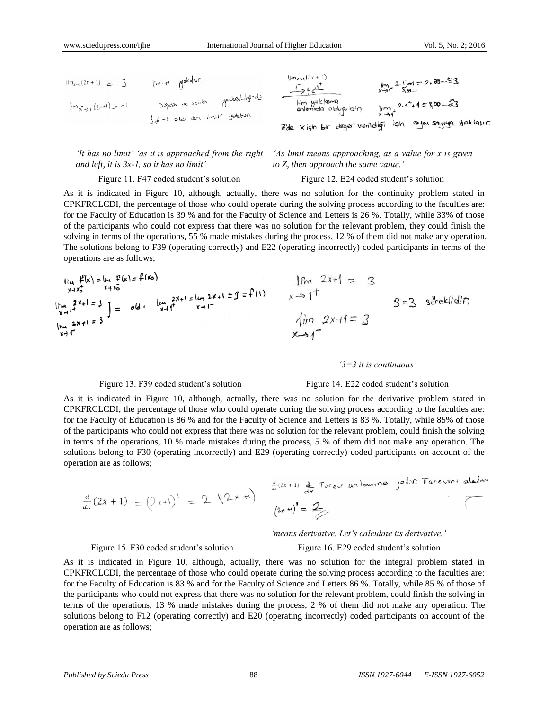$$
\lim_{x \to 1} (2x + 1) = 3
$$
\n
$$
[\text{Im}(x + 1)] = 3
$$
\n
$$
[\text{Im}(x + 1)] = -1
$$
\n
$$
3x + 1 = 1
$$
\n
$$
3x + 1 = 1
$$
\n
$$
3x + 1 = 1
$$
\n
$$
3x + 1 = 1
$$
\n
$$
3x + 1 = 1
$$
\n
$$
3x + 1 = 1
$$
\n
$$
3x + 1 = 1
$$
\n
$$
3x + 1 = 1
$$
\n
$$
3x + 1 = 1
$$
\n
$$
3x + 1 = 1
$$
\n
$$
3x + 1 = 1
$$
\n
$$
3x + 1 = 1
$$
\n
$$
3x + 1 = 1
$$
\n
$$
3x + 1 = 1
$$
\n
$$
3x + 1 = 1
$$
\n
$$
3x + 1 = 1
$$
\n
$$
3x + 1 = 1
$$
\n
$$
3x + 1 = 1
$$
\n
$$
3x + 1 = 1
$$
\n
$$
3x + 1 = 1
$$
\n
$$
3x + 1 = 1
$$
\n
$$
3x + 1 = 1
$$
\n
$$
3x + 1 = 1
$$
\n
$$
3x + 1 = 1
$$
\n
$$
3x + 1 = 1
$$
\n
$$
3x + 1 = 1
$$
\n
$$
3x + 1 = 1
$$
\n
$$
3x + 1 = 1
$$
\n
$$
3x + 1 = 1
$$
\n
$$
3x + 1 = 1
$$
\n
$$
3x + 1 = 1
$$
\n
$$
3x + 1 = 1
$$
\n
$$
3x + 1 = 1
$$
\n
$$
3x + 1 = 1
$$
\n
$$
3x + 1 = 1
$$
\n
$$
3x + 1 = 1
$$
\n
$$
3x + 1 = 1
$$
\n
$$
3x + 1 = 1
$$
\n
$$
3
$$

$$
\frac{1}{2}4 \times 12
$$
\n
$$
\frac{1}{2}4 \times 11
$$
\n
$$
\frac{1}{2}4 \times 11
$$
\n
$$
\frac{1}{2}4 \times 11
$$
\n
$$
\frac{1}{2}4 \times 11
$$
\n
$$
\frac{1}{2}4 \times 11
$$
\n
$$
\frac{1}{2}4 \times 11
$$
\n
$$
\frac{1}{2}4 \times 11
$$
\n
$$
\frac{1}{2}4 \times 11
$$
\n
$$
\frac{1}{2}4 \times 11
$$
\n
$$
\frac{1}{2}4 \times 11
$$
\n
$$
\frac{1}{2}4 \times 11
$$
\n
$$
\frac{1}{2}4 \times 11
$$
\n
$$
\frac{1}{2}4 \times 11
$$
\n
$$
\frac{1}{2}4 \times 11
$$
\n
$$
\frac{1}{2}4 \times 11
$$
\n
$$
\frac{1}{2}4 \times 11
$$
\n
$$
\frac{1}{2}4 \times 11
$$
\n
$$
\frac{1}{2}4 \times 11
$$
\n
$$
\frac{1}{2}4 \times 11
$$
\n
$$
\frac{1}{2}4 \times 11
$$
\n
$$
\frac{1}{2}4 \times 11
$$
\n
$$
\frac{1}{2}4 \times 11
$$
\n
$$
\frac{1}{2}4 \times 11
$$
\n
$$
\frac{1}{2}4 \times 11
$$
\n
$$
\frac{1}{2}4 \times 11
$$
\n
$$
\frac{1}{2}4 \times 11
$$
\n
$$
\frac{1}{2}4 \times 11
$$
\n
$$
\frac{1}{2}4 \times 11
$$
\n
$$
\frac{1}{2}4 \times 11
$$
\n
$$
\frac{1}{2}4 \times 11
$$
\n
$$
\frac{1}{2}4 \times 11
$$
\n
$$
\frac{1}{2}4 \times 11
$$
\n
$$
\frac{1}{2}4 \times 11
$$
\n
$$
\frac{1}{2}4 \times 1
$$

*'It has no limit' 'as it is approached from the right and left, it is 3x-1, so it has no limit'*

# Figure 11. F47 coded student's solution Figure 12. E24 coded student's solution

*'As limit means approaching, as a value for x is given to Z, then approach the same value.'*

As it is indicated in Figure 10, although, actually, there was no solution for the continuity problem stated in CPKFRCLCDI, the percentage of those who could operate during the solving process according to the faculties are: for the Faculty of Education is 39 % and for the Faculty of Science and Letters is 26 %. Totally, while 33% of those of the participants who could not express that there was no solution for the relevant problem, they could finish the solving in terms of the operations, 55 % made mistakes during the process, 12 % of them did not make any operation. The solutions belong to F39 (operating correctly) and E22 (operating incorrectly) coded participants in terms of the operations are as follows;

$$
\lim_{\substack{x \to x^2 \\ x \to 1^+}} f(x) = \lim_{x \to x^2} f(x) = f(x_0)
$$
\n
$$
\lim_{\substack{x \to 1^+ \\ x \to 1^-}} 2x + 1 = 3
$$
\n
$$
\lim_{x \to 1^-} 2x + 1 = 3
$$
\n
$$
\lim_{x \to 1^-} 2x + 1 = 3
$$
\n
$$
\lim_{x \to 1^-} 2x + 1 = 3
$$
\n
$$
\lim_{x \to 1^-} 2x + 1 = 3
$$
\n
$$
\lim_{x \to 1^-} 2x + 1 = 3
$$
\n
$$
\lim_{x \to 1^-} 2x + 1 = 3
$$
\n
$$
\lim_{x \to 1^-} 2x + 1 = 3
$$
\n
$$
\lim_{x \to 1^-} 3 = 3 \text{ it is continuous'}
$$

# Figure 13. F39 coded student's solution Figure 14. E22 coded student's solution

As it is indicated in Figure 10, although, actually, there was no solution for the derivative problem stated in CPKFRCLCDI, the percentage of those who could operate during the solving process according to the faculties are: for the Faculty of Education is 86 % and for the Faculty of Science and Letters is 83 %. Totally, while 85% of those of the participants who could not express that there was no solution for the relevant problem, could finish the solving in terms of the operations, 10 % made mistakes during the process, 5 % of them did not make any operation. The solutions belong to F30 (operating incorrectly) and E29 (operating correctly) coded participants on account of the operation are as follows;

 $\mathbf{I}$ 

$$
\frac{d}{dx}(2x+1) = (2x+1)' = 2 \quad (2x+1)
$$
\n
$$
\frac{d}{dx}(2x+1) = \frac{1}{2x}
$$
\n
$$
(2x+1)' = \frac{1}{2x}
$$

*'means derivative. Let's calculate its derivative.'* Figure 15. F30 coded student's solution Figure 16. E29 coded student's solution

As it is indicated in Figure 10, although, actually, there was no solution for the integral problem stated in CPKFRCLCDI, the percentage of those who could operate during the solving process according to the faculties are: for the Faculty of Education is 83 % and for the Faculty of Science and Letters 86 %. Totally, while 85 % of those of the participants who could not express that there was no solution for the relevant problem, could finish the solving in terms of the operations, 13 % made mistakes during the process, 2 % of them did not make any operation. The solutions belong to F12 (operating correctly) and E20 (operating incorrectly) coded participants on account of the operation are as follows;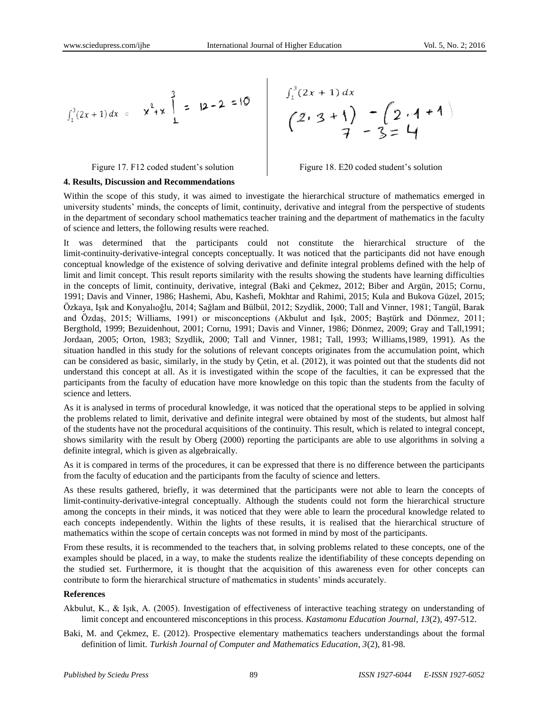$$
\int_1^3 (2x+1) dx = x^2 + x \int_1^3 = 12 - 2 = 10
$$

$$
\frac{\int_1^3 (2x+1) dx}{\left(2 \cdot 3 + 1\right)} - \left(2 \cdot 4 + 1\right)
$$
  

$$
\frac{7}{7} - 3 = 4
$$

Figure 17. F12 coded student's solution Figure 18. E20 coded student's solution

### **4. Results, Discussion and Recommendations**

Within the scope of this study, it was aimed to investigate the hierarchical structure of mathematics emerged in university students' minds, the concepts of limit, continuity, derivative and integral from the perspective of students in the department of secondary school mathematics teacher training and the department of mathematics in the faculty of science and letters, the following results were reached.

It was determined that the participants could not constitute the hierarchical structure of the limit-continuity-derivative-integral concepts conceptually. It was noticed that the participants did not have enough conceptual knowledge of the existence of solving derivative and definite integral problems defined with the help of limit and limit concept. This result reports similarity with the results showing the students have learning difficulties in the concepts of limit, continuity, derivative, integral (Baki and Çekmez, 2012; Biber and Argün, 2015; Cornu, 1991; Davis and Vinner, 1986; Hashemi, Abu, Kashefi, Mokhtar and Rahimi, 2015; Kula and Bukova Güzel, 2015; Özkaya, Işık and Konyalıoğlu, 2014; Sağlam and Bülbül, 2012; Szydlik, 2000; Tall and Vinner, 1981; Tangül, Barak and Özdaş, 2015; Williams, 1991) or misconceptions (Akbulut and Işık, 2005; Baştürk and Dönmez, 2011; Bergthold, 1999; Bezuidenhout, 2001; Cornu, 1991; Davis and Vinner, 1986; Dönmez, 2009; Gray and Tall,1991; Jordaan, 2005; Orton, 1983; Szydlik, 2000; Tall and Vinner, 1981; Tall, 1993; Williams,1989, 1991). As the situation handled in this study for the solutions of relevant concepts originates from the accumulation point, which can be considered as basic, similarly, in the study by Çetin, et al. (2012), it was pointed out that the students did not understand this concept at all. As it is investigated within the scope of the faculties, it can be expressed that the participants from the faculty of education have more knowledge on this topic than the students from the faculty of science and letters.

As it is analysed in terms of procedural knowledge, it was noticed that the operational steps to be applied in solving the problems related to limit, derivative and definite integral were obtained by most of the students, but almost half of the students have not the procedural acquisitions of the continuity. This result, which is related to integral concept, shows similarity with the result by Oberg (2000) reporting the participants are able to use algorithms in solving a definite integral, which is given as algebraically.

As it is compared in terms of the procedures, it can be expressed that there is no difference between the participants from the faculty of education and the participants from the faculty of science and letters.

As these results gathered, briefly, it was determined that the participants were not able to learn the concepts of limit-continuity-derivative-integral conceptually. Although the students could not form the hierarchical structure among the concepts in their minds, it was noticed that they were able to learn the procedural knowledge related to each concepts independently. Within the lights of these results, it is realised that the hierarchical structure of mathematics within the scope of certain concepts was not formed in mind by most of the participants.

From these results, it is recommended to the teachers that, in solving problems related to these concepts, one of the examples should be placed, in a way, to make the students realize the identifiability of these concepts depending on the studied set. Furthermore, it is thought that the acquisition of this awareness even for other concepts can contribute to form the hierarchical structure of mathematics in students' minds accurately.

### **References**

- Akbulut, K., & Işık, A. (2005). Investigation of effectiveness of interactive teaching strategy on understanding of limit concept and encountered misconceptions in this process. *Kastamonu Education Journal, 13*(2), 497-512.
- Baki, M. and Çekmez, E. (2012). Prospective elementary mathematics teachers understandings about the formal definition of limit. *Turkish Journal of Computer and Mathematics Education, 3*(2), 81-98.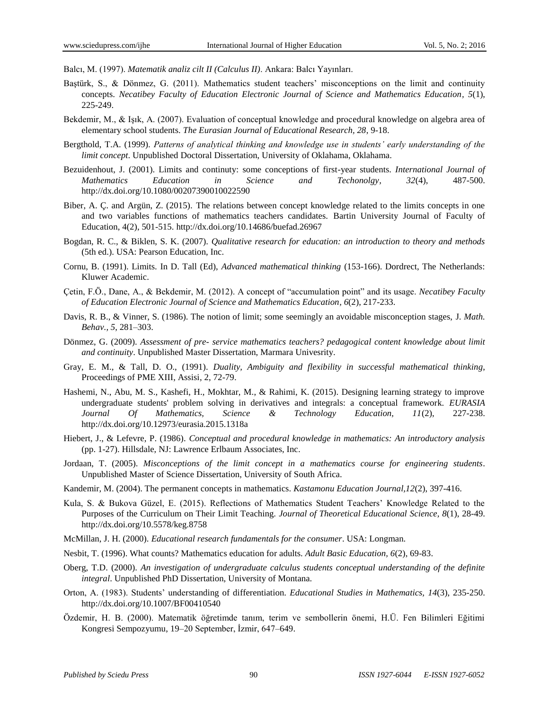Balcı, M. (1997). *Matematik analiz cilt II (Calculus II)*. Ankara: Balcı Yayınları.

- Baştürk, S., & Dönmez, G. (2011). Mathematics student teachers' misconceptions on the limit and continuity concepts. *Necatibey Faculty of Education Electronic Journal of Science and Mathematics Education, 5*(1), 225-249.
- Bekdemir, M., & Işık, A. (2007). Evaluation of conceptual knowledge and procedural knowledge on algebra area of elementary school students. *The Eurasian Journal of Educational Research, 28*, 9-18.
- Bergthold, T.A. (1999). *Patterns of analytical thinking and knowledge use in students' early understanding of the limit concept*. Unpublished Doctoral Dissertation, University of Oklahama, Oklahama.
- Bezuidenhout, J. (2001). Limits and continuty: some conceptions of first-year students. *International Journal of Mathematics Education in Science and Techonolgy, 32*(4), 487-500. http://dx.doi.org/10.1080/00207390010022590
- Biber, A. Ç. and Argün, Z. (2015). The relations between concept knowledge related to the limits concepts in one and two variables functions of mathematics teachers candidates. Bartin University Journal of Faculty of Education, 4(2), 501-515[. http://dx.doi.org/1](http://dx.doi.org/10.1007/BF00410540)0.14686/buefad.26967
- Bogdan, R. C., & Biklen, S. K. (2007). *Qualitative research for education: an introduction to theory and methods* (5th ed.). USA: Pearson Education, Inc.
- Cornu, B. (1991). Limits. In D. Tall (Ed), *Advanced mathematical thinking* (153-166). Dordrect, The Netherlands: Kluwer Academic.
- Çetin, F.Ö., Dane, A., & Bekdemir, M. (2012). A concept of "accumulation point" and its usage. *Necatibey Faculty of Education Electronic Journal of Science and Mathematics Education, 6*(2), 217-233.
- Davis, R. B., & Vinner, S. (1986). The notion of limit; some seemingly an avoidable misconception stages, J*. Math. Behav., 5*, 281–303.
- Dönmez, G. (2009). *Assessment of pre- service mathematics teachers? pedagogical content knowledge about limit and continuity*. Unpublished Master Dissertation, Marmara Univesrity.
- Gray, E. M., & Tall, D. O., (1991). *Duality, Ambiguity and flexibility in successful mathematical thinking*, Proceedings of PME XIII, Assisi, 2, 72-79.
- Hashemi, N., Abu, M. S., Kashefi, H., Mokhtar, M., & Rahimi, K. (2015). Designing learning strategy to improve undergraduate students' problem solving in derivatives and integrals: a conceptual framework. *EURASIA Journal Of Mathematics, Science & Technology Education, 11*(2), 227-238. http://dx.doi.org/10.12973/eurasia.2015.1318a
- Hiebert, J., & Lefevre, P. (1986). *Conceptual and procedural knowledge in mathematics: An introductory analysis* (pp. 1-27). Hillsdale, NJ: Lawrence Erlbaum Associates, Inc.
- Jordaan, T. (2005). *Misconceptions of the limit concept in a mathematics course for engineering students*. Unpublished Master of Science Dissertation, University of South Africa.
- Kandemir, M. (2004). The permanent concepts in mathematics. *Kastamonu Education Journal,12*(2), 397-416.
- Kula, S. & Bukova Güzel, E. (2015). Reflections of Mathematics Student Teachers' Knowledge Related to the Purposes of the Curriculum on Their Limit Teaching. *Journal of Theoretical Educational Science, 8*(1), 28-49. <http://dx.doi.org/10.5578/keg.8758>
- McMillan, J. H. (2000). *Educational research fundamentals for the consumer*. USA: Longman.
- Nesbit, T. (1996). What counts? Mathematics education for adults. *Adult Basic Education, 6*(2), 69-83.
- Oberg, T.D. (2000). *An investigation of undergraduate calculus students conceptual understanding of the definite integral*. Unpublished PhD Dissertation, University of Montana.
- Orton, A. (1983). Students' understanding of differentiation. *Educational Studies in Mathematics, 14*(3), 235-250. <http://dx.doi.org/10.1007/BF00410540>
- Özdemir, H. B. (2000). Matematik öğretimde tanım, terim ve sembollerin önemi, H.Ü. Fen Bilimleri Eğitimi Kongresi Sempozyumu, 19–20 September, İzmir, 647–649.